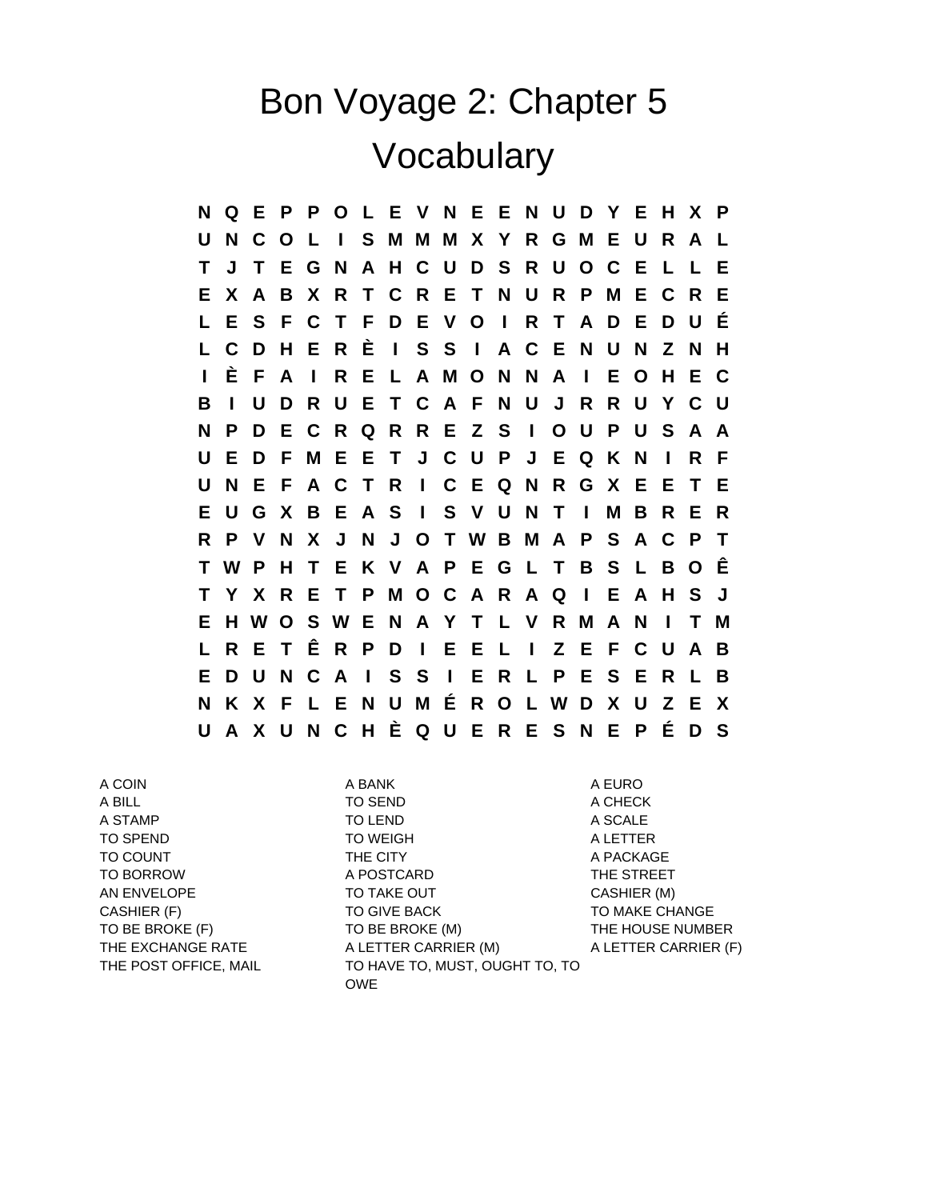## Bon Voyage 2: Chapter 5 Vocabulary

**N Q E P P O L E V N E E N U D Y E H X P U N C O L I S M M M X Y R G M E U R A L T J T E G N A H C U D S R U O C E L L E E X A B X R T C R E T N U R P M E C R E L E S F C T F D E V O I R T A D E D U É L C D H E R È I S S I A C E N U N Z N H I È F A I R E L A M O N N A I E O H E C B I U D R U E T C A F N U J R R U Y C U N P D E C R Q R R E Z S I O U P U S A A U E D F M E E T J C U P J E Q K N I R F U N E F A C T R I C E Q N R G X E E T E E U G X B E A S I S V U N T I M B R E R R P V N X J N J O T W B M A P S A C P T T W P H T E K V A P E G L T B S L B O Ê T Y X R E T P M O C A R A Q I E A H S J E H W O S W E N A Y T L V R M A N I T M L R E T Ê R P D I E E L I Z E F C U A B E D U N C A I S S I E R L P E S E R L B N K X F L E N U M É R O L W D X U Z E X U A X U N C H È Q U E R E S N E P É D S**

A COIN A BANK A GURO A BANK A BANG A BANG A BANG A BANG A BANG A BADA A BADA A BADA A BADA A BADA A BADA A BADA

A BILL A CHECK TO SEND A CHECK A STAMP TO LEND A SCALE TO SPEND **TO WEIGH A LETTER** TO COUNT THE CITY THE CITY A PACKAGE TO BORROW THE STREET A POSTCARD THE STREET AN ENVELOPE TO TAKE OUT CASHIER (M) CASHIER (F) TO GIVE BACK TO TO MAKE CHANGE TO BE BROKE (F) TO BE BROKE (M) THE HOUSE NUMBER THE EXCHANGE RATE A LETTER CARRIER (M) A LETTER CARRIER (F) THE POST OFFICE, MAIL TO HAVE TO, MUST, OUGHT TO, TO OWE